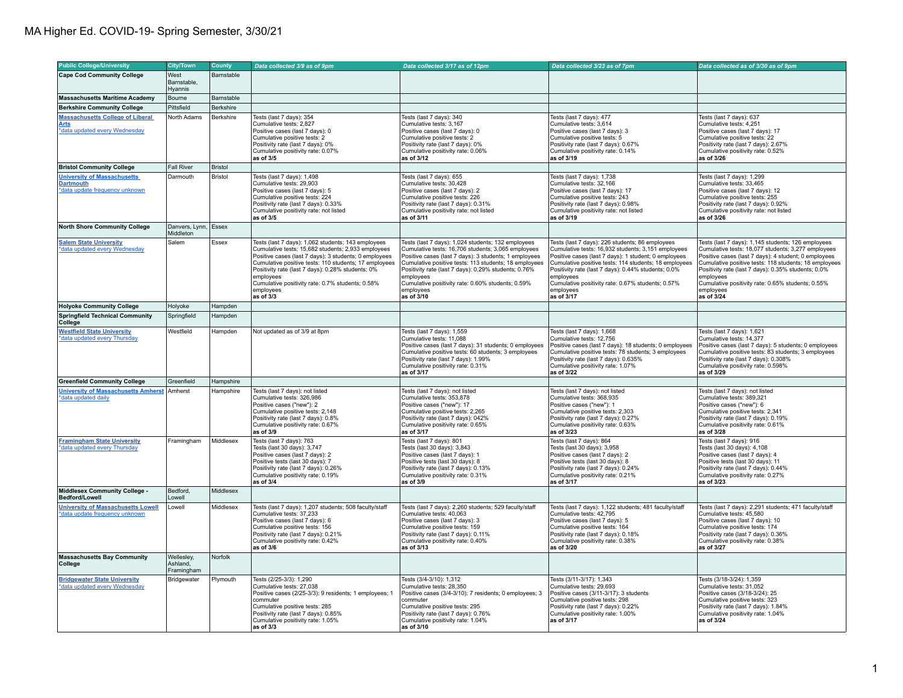| <b>Public College/University</b>                                                         | <b>City/Town</b>                     | County     | Data collected 3/9 as of 9pm                                                                                                                                                                                                                                                                                                                                                 | Data collected 3/17 as of 12pm                                                                                                                                                                                                                                                                                                                                                  | Data collected 3/23 as of 7pm                                                                                                                                                                                                                                                                                                                                              | Data collected as of 3/30 as of 9pm                                                                                                                                                                                                                                                                                                                                           |
|------------------------------------------------------------------------------------------|--------------------------------------|------------|------------------------------------------------------------------------------------------------------------------------------------------------------------------------------------------------------------------------------------------------------------------------------------------------------------------------------------------------------------------------------|---------------------------------------------------------------------------------------------------------------------------------------------------------------------------------------------------------------------------------------------------------------------------------------------------------------------------------------------------------------------------------|----------------------------------------------------------------------------------------------------------------------------------------------------------------------------------------------------------------------------------------------------------------------------------------------------------------------------------------------------------------------------|-------------------------------------------------------------------------------------------------------------------------------------------------------------------------------------------------------------------------------------------------------------------------------------------------------------------------------------------------------------------------------|
| <b>Cape Cod Community College</b>                                                        | West                                 | Barnstable |                                                                                                                                                                                                                                                                                                                                                                              |                                                                                                                                                                                                                                                                                                                                                                                 |                                                                                                                                                                                                                                                                                                                                                                            |                                                                                                                                                                                                                                                                                                                                                                               |
|                                                                                          | Barnstable.<br>Hyannis               |            |                                                                                                                                                                                                                                                                                                                                                                              |                                                                                                                                                                                                                                                                                                                                                                                 |                                                                                                                                                                                                                                                                                                                                                                            |                                                                                                                                                                                                                                                                                                                                                                               |
| <b>Massachusetts Maritime Academy</b>                                                    | Bourne                               | Barnstable |                                                                                                                                                                                                                                                                                                                                                                              |                                                                                                                                                                                                                                                                                                                                                                                 |                                                                                                                                                                                                                                                                                                                                                                            |                                                                                                                                                                                                                                                                                                                                                                               |
| <b>Berkshire Community College</b>                                                       | Pittsfield                           | Berkshire  |                                                                                                                                                                                                                                                                                                                                                                              |                                                                                                                                                                                                                                                                                                                                                                                 |                                                                                                                                                                                                                                                                                                                                                                            |                                                                                                                                                                                                                                                                                                                                                                               |
| <b>Massachusetts College of Liberal</b><br><b>Arts</b><br>*data updated every Wednesday  | North Adams                          | Berkshire  | Tests (last 7 days): 354<br>Cumulative tests: 2,827<br>Positive cases (last 7 days): 0<br>Cumulative positive tests: 2<br>Positivity rate (last 7 days): 0%<br>Cumulative positivity rate: 0.07%<br>as of 3/5                                                                                                                                                                | Tests (last 7 days): 340<br>Cumulative tests: 3,167<br>Positive cases (last 7 days): 0<br>Cumulative positive tests: 2<br>Positivity rate (last 7 days): 0%<br>Cumulative positivity rate: 0.06%<br>as of 3/12                                                                                                                                                                  | Tests (last 7 days): 477<br>Cumulative tests: 3,614<br>Positive cases (last 7 days): 3<br>Cumulative positive tests: 5<br>Positivity rate (last 7 days): 0.67%<br>Cumulative positivity rate: 0.14%<br>as of 3/19                                                                                                                                                          | Tests (last 7 days): 637<br>Cumulative tests: 4,251<br>Positive cases (last 7 days): 17<br>Cumulative positive tests: 22<br>Positivity rate (last 7 days): 2.67%<br>Cumulative positivity rate: 0.52%<br>as of 3/26                                                                                                                                                           |
| <b>Bristol Community College</b>                                                         | Fall River                           | Bristol    |                                                                                                                                                                                                                                                                                                                                                                              |                                                                                                                                                                                                                                                                                                                                                                                 |                                                                                                                                                                                                                                                                                                                                                                            |                                                                                                                                                                                                                                                                                                                                                                               |
| <b>University of Massachusetts</b><br><b>Dartmouth</b><br>*data update frequency unknown | Darmouth                             | Bristol    | Tests (last 7 days): 1,498<br>Cumulative tests: 29,903<br>Positive cases (last 7 days): 5<br>Cumulative positive tests: 224<br>Positivity rate (last 7 days): 0.33%<br>Cumulative positivity rate: not listed<br>as of 3/5                                                                                                                                                   | Tests (last 7 days): 655<br>Cumulative tests: 30,428<br>Positive cases (last 7 days): 2<br>Cumulative positive tests: 226<br>Positivity rate (last 7 days): 0.31%<br>Cumulative positivity rate: not listed<br>as of 3/11                                                                                                                                                       | Tests (last 7 days): 1,738<br>Cumulative tests: 32,166<br>Positive cases (last 7 days): 17<br>Cumulative positive tests: 243<br>Positivity rate (last 7 days): 0.98%<br>Cumulative positivity rate: not listed<br>as of 3/19                                                                                                                                               | Tests (last 7 days): 1,299<br>Cumulative tests: 33,465<br>Positive cases (last 7 days): 12<br>Cumulative positive tests: 255<br>Positivity rate (last 7 days): 0.92%<br>Cumulative positivity rate: not listed<br>as of 3/26                                                                                                                                                  |
| <b>North Shore Community College</b>                                                     | Danvers, Lynn, Essex<br>Middleton    |            |                                                                                                                                                                                                                                                                                                                                                                              |                                                                                                                                                                                                                                                                                                                                                                                 |                                                                                                                                                                                                                                                                                                                                                                            |                                                                                                                                                                                                                                                                                                                                                                               |
| <b>Salem State University</b><br>*data updated every Wednesday                           | Salem                                | Essex      | Tests (last 7 days): 1,062 students; 143 employees<br>Cumulative tests: 15,682 students; 2,933 employees<br>Positive cases (last 7 days): 3 students; 0 employees<br>Cumulative positive tests: 110 students; 17 employees<br>Positivity rate (last 7 days): 0.28% students; 0%<br>employees<br>Cumulative positivity rate: 0.7% students; 0.58%<br>employees<br>as of $3/3$ | Tests (last 7 days): 1,024 students; 132 employees<br>Cumulative tests: 16,706 students; 3,065 employees<br>Positive cases (last 7 days): 3 students; 1 employees<br>Cumulative positive tests: 113 students; 18 employees<br>Positivity rate (last 7 days): 0.29% students; 0.76%<br>employees<br>Cumulative positivity rate: 0.60% students: 0.59%<br>employees<br>as of 3/10 | Tests (last 7 days): 226 students; 86 employees<br>Cumulative tests: 16,932 students; 3,151 employees<br>Positive cases (last 7 days): 1 student; 0 employees<br>Cumulative positive tests: 114 students; 18 employees<br>Positivity rate (last 7 days): 0.44% students; 0.0%<br>employees<br>Cumulative positivity rate: 0.67% students: 0.57%<br>employees<br>as of 3/17 | Tests (last 7 days): 1,145 students; 126 employees<br>Cumulative tests: 18,077 students; 3,277 employees<br>Positive cases (last 7 days): 4 student; 0 employees<br>Cumulative positive tests: 118 students; 18 employees<br>Positivity rate (last 7 days): 0.35% students; 0.0%<br>employees<br>Cumulative positivity rate: 0.65% students: 0.55%<br>employees<br>as of 3/24 |
| <b>Holyoke Community College</b>                                                         | Holyoke                              | Hampden    |                                                                                                                                                                                                                                                                                                                                                                              |                                                                                                                                                                                                                                                                                                                                                                                 |                                                                                                                                                                                                                                                                                                                                                                            |                                                                                                                                                                                                                                                                                                                                                                               |
| <b>Springfield Technical Community</b><br>College                                        | Springfield                          | Hampden    |                                                                                                                                                                                                                                                                                                                                                                              |                                                                                                                                                                                                                                                                                                                                                                                 |                                                                                                                                                                                                                                                                                                                                                                            |                                                                                                                                                                                                                                                                                                                                                                               |
| <b>Westfield State University</b><br>data updated every Thursday                         | Westfield                            | Hampden    | Not updated as of 3/9 at 8pm                                                                                                                                                                                                                                                                                                                                                 | Tests (last 7 days): 1,559<br>Cumulative tests: 11,088<br>Positive cases (last 7 days): 31 students; 0 employees<br>Cumulative positive tests: 60 students; 3 employees<br>Positivity rate (last 7 days): 1.99%<br>Cumulative positivity rate: 0.31%<br>as of 3/17                                                                                                              | Tests (last 7 days): 1,668<br>Cumulative tests: 12,756<br>Positive cases (last 7 days): 18 students; 0 employees<br>Cumulative positive tests: 78 students; 3 employees<br>Positivity rate (last 7 days): 0.635%<br>Cumulative positivity rate: 1.07%<br>as of 3/22                                                                                                        | Tests (last 7 days): 1,621<br>Cumulative tests: 14,377<br>Positive cases (last 7 days): 5 students; 0 employees<br>Cumulative positive tests: 83 students; 3 employees<br>Positivity rate (last 7 days): 0.308%<br>Cumulative positivity rate: 0.598%<br>as of 3/29                                                                                                           |
| <b>Greenfield Community College</b>                                                      | Greenfield                           | Hampshire  |                                                                                                                                                                                                                                                                                                                                                                              |                                                                                                                                                                                                                                                                                                                                                                                 |                                                                                                                                                                                                                                                                                                                                                                            |                                                                                                                                                                                                                                                                                                                                                                               |
| <b>University of Massachusetts Amherst</b><br>*data updated daily                        | Amherst                              | Hampshire  | Tests (last 7 days): not listed<br>Cumulative tests: 326,986<br>Positive cases ("new"): 2<br>Cumulative positive tests: 2.148<br>Positivity rate (last 7 days): 0.8%<br>Cumulative positivity rate: 0.67%<br>as of 3/9                                                                                                                                                       | Tests (last 7 days): not listed<br>Cumulative tests: 353,878<br>Positive cases ("new"): 17<br>Cumulative positive tests: 2.265<br>Positivity rate (last 7 days): 042%<br>Cumulative positivity rate: 0.65%<br>as of 3/17                                                                                                                                                        | Tests (last 7 days): not listed<br>Cumulative tests: 368,935<br>Positive cases ("new"): 1<br>Cumulative positive tests: 2.303<br>Positivity rate (last 7 days): 0.27%<br>Cumulative positivity rate: 0.63%<br>as of 3/23                                                                                                                                                   | Tests (last 7 days): not listed<br>Cumulative tests: 389,321<br>Positive cases ("new"): 6<br>Cumulative positive tests: 2.341<br>Positivity rate (last 7 days): 0.19%<br>Cumulative positivity rate: 0.61%<br>as of 3/28                                                                                                                                                      |
| <b>Framingham State University</b><br>*data updated every Thursday                       | Framingham                           | Middlesex  | Tests (last 7 days): 763<br>Tests (last 30 days): 3.747<br>Positive cases (last 7 days): 2<br>Positive tests (last 30 days): 7<br>Positivity rate (last 7 days): 0.26%<br>Cumulative positivity rate: 0.19%<br>as of 3/4                                                                                                                                                     | Tests (last 7 days): 801<br>Tests (last 30 days): 3.843<br>Positive cases (last 7 days): 1<br>Positive tests (last 30 days): 8<br>Positivity rate (last 7 days): 0.13%<br>Cumulative positivity rate: 0.31%<br>as of 3/9                                                                                                                                                        | Tests (last 7 days): 864<br>Tests (last 30 days): 3.958<br>Positive cases (last 7 days): 2<br>Positive tests (last 30 days): 8<br>Positivity rate (last 7 days): 0.24%<br>Cumulative positivity rate: 0.21%<br>as of 3/17                                                                                                                                                  | Tests (last 7 days): 916<br>Tests (last 30 days): 4.108<br>Positive cases (last 7 days): 4<br>Positive tests (last 30 days): 11<br>Positivity rate (last 7 days): 0.44%<br>Cumulative positivity rate: 0.27%<br>as of 3/23                                                                                                                                                    |
| <b>Middlesex Community College -</b><br>Bedford/Lowell                                   | Bedford,<br>Lowell                   | Middlesex  |                                                                                                                                                                                                                                                                                                                                                                              |                                                                                                                                                                                                                                                                                                                                                                                 |                                                                                                                                                                                                                                                                                                                                                                            |                                                                                                                                                                                                                                                                                                                                                                               |
| <b>University of Massachusetts Lowell</b><br>*data update frequency unknown              | Lowell                               | Middlesex  | Tests (last 7 days): 1,207 students; 508 faculty/staff<br>Cumulative tests: 37,233<br>Positive cases (last 7 days): 6<br>Cumulative positive tests: 156<br>Positivity rate (last 7 days): 0.21%<br>Cumulative positivity rate: 0.42%<br>as of 3/6                                                                                                                            | Tests (last 7 days): 2,260 students; 529 faculty/staff<br>Cumulative tests: 40,063<br>Positive cases (last 7 days): 3<br>Cumulative positive tests: 159<br>Positivity rate (last 7 days): 0.11%<br>Cumulative positivity rate: 0.40%<br>as of 3/13                                                                                                                              | Tests (last 7 days): 1,122 students; 481 faculty/staff<br>Cumulative tests: 42,795<br>Positive cases (last 7 days): 5<br>Cumulative positive tests: 164<br>Positivity rate (last 7 days): 0.18%<br>Cumulative positivity rate: 0.38%<br>as of 3/20                                                                                                                         | Tests (last 7 days): 2,291 students; 471 faculty/staff<br>Cumulative tests: 45,580<br>Positive cases (last 7 days): 10<br>Cumulative positive tests: 174<br>Positivity rate (last 7 days): 0.36%<br>Cumulative positivity rate: 0.38%<br>as of 3/27                                                                                                                           |
| <b>Massachusetts Bay Community</b><br>College                                            | Wellesley,<br>Ashland,<br>Framingham | Norfolk    |                                                                                                                                                                                                                                                                                                                                                                              |                                                                                                                                                                                                                                                                                                                                                                                 |                                                                                                                                                                                                                                                                                                                                                                            |                                                                                                                                                                                                                                                                                                                                                                               |
| <b>Bridgewater State University</b><br>*data updated every Wednesday                     | Bridgewater                          | Plymouth   | Tests (2/25-3/3): 1,290<br>Cumulative tests: 27,038<br>Positive cases (2/25-3/3): 9 residents; 1 employees; 1<br>commuter<br>Cumulative positive tests: 285<br>Positivity rate (last 7 days): 0.85%<br>Cumulative positivity rate: 1.05%<br>as of 3/3                                                                                                                        | Tests (3/4-3/10): 1,312<br>Cumulative tests: 28,350<br>Positive cases (3/4-3/10): 7 residents; 0 employees; 3<br>commuter<br>Cumulative positive tests: 295<br>Positivity rate (last 7 days): 0.76%<br>Cumulative positivity rate: 1.04%<br>as of 3/10                                                                                                                          | Tests (3/11-3/17): 1,343<br>Cumulative tests: 29,693<br>Positive cases (3/11-3/17): 3 students<br>Cumulative positive tests: 298<br>Positivity rate (last 7 days): 0.22%<br>Cumulative positivity rate: 1.00%<br>as of 3/17                                                                                                                                                | Tests (3/18-3/24): 1,359<br>Cumulative tests: 31,052<br>Positive cases (3/18-3/24): 25<br>Cumulative positive tests: 323<br>Positivity rate (last 7 days): 1.84%<br>Cumulative positivity rate: 1.04%<br>as of 3/24                                                                                                                                                           |